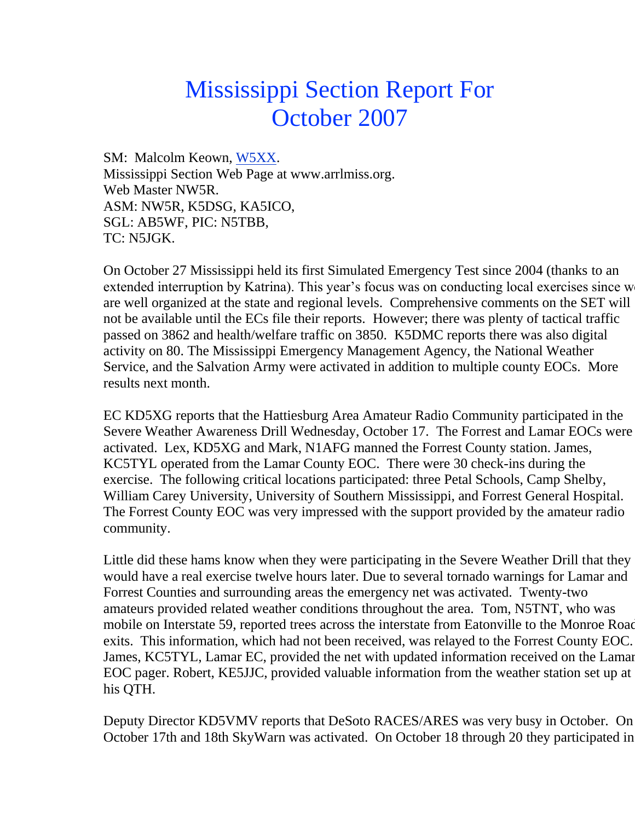## Mississippi Section Report For October 2007

SM: Malcolm Keown, [W5XX.](mailto:w5xx@vicksburg.com) Mississippi Section Web Page at www.arrlmiss.org. Web Master NW5R. ASM: NW5R, K5DSG, KA5ICO, SGL: AB5WF, PIC: N5TBB, TC: N5JGK.

On October 27 Mississippi held its first Simulated Emergency Test since 2004 (thanks to an extended interruption by Katrina). This year's focus was on conducting local exercises since w are well organized at the state and regional levels. Comprehensive comments on the SET will not be available until the ECs file their reports. However; there was plenty of tactical traffic passed on 3862 and health/welfare traffic on 3850. K5DMC reports there was also digital activity on 80. The Mississippi Emergency Management Agency, the National Weather Service, and the Salvation Army were activated in addition to multiple county EOCs. More results next month.

EC KD5XG reports that the Hattiesburg Area Amateur Radio Community participated in the Severe Weather Awareness Drill Wednesday, October 17. The Forrest and Lamar EOCs were activated. Lex, KD5XG and Mark, N1AFG manned the Forrest County station. James, KC5TYL operated from the Lamar County EOC. There were 30 check-ins during the exercise. The following critical locations participated: three Petal Schools, Camp Shelby, William Carey University, University of Southern Mississippi, and Forrest General Hospital. The Forrest County EOC was very impressed with the support provided by the amateur radio community.

Little did these hams know when they were participating in the Severe Weather Drill that they would have a real exercise twelve hours later. Due to several tornado warnings for Lamar and Forrest Counties and surrounding areas the emergency net was activated. Twenty-two amateurs provided related weather conditions throughout the area. Tom, N5TNT, who was mobile on Interstate 59, reported trees across the interstate from Eatonville to the Monroe Road exits. This information, which had not been received, was relayed to the Forrest County EOC. James, KC5TYL, Lamar EC, provided the net with updated information received on the Lamar EOC pager. Robert, KE5JJC, provided valuable information from the weather station set up at his QTH.

Deputy Director KD5VMV reports that DeSoto RACES/ARES was very busy in October. On October 17th and 18th SkyWarn was activated. On October 18 through 20 they participated in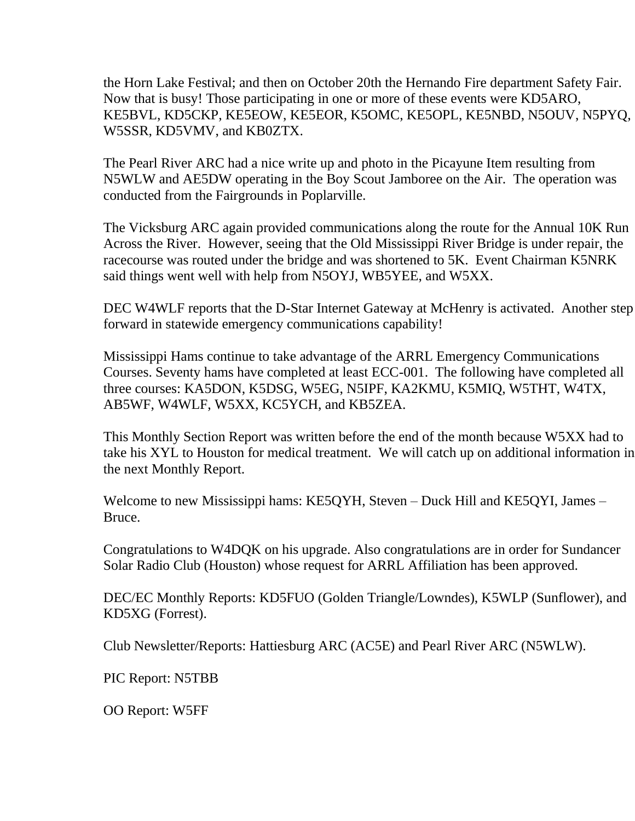the Horn Lake Festival; and then on October 20th the Hernando Fire department Safety Fair. Now that is busy! Those participating in one or more of these events were KD5ARO, KE5BVL, KD5CKP, KE5EOW, KE5EOR, K5OMC, KE5OPL, KE5NBD, N5OUV, N5PYQ, W5SSR, KD5VMV, and KB0ZTX.

The Pearl River ARC had a nice write up and photo in the Picayune Item resulting from N5WLW and AE5DW operating in the Boy Scout Jamboree on the Air. The operation was conducted from the Fairgrounds in Poplarville.

The Vicksburg ARC again provided communications along the route for the Annual 10K Run Across the River. However, seeing that the Old Mississippi River Bridge is under repair, the racecourse was routed under the bridge and was shortened to 5K. Event Chairman K5NRK said things went well with help from N5OYJ, WB5YEE, and W5XX.

DEC W4WLF reports that the D-Star Internet Gateway at McHenry is activated. Another step forward in statewide emergency communications capability!

Mississippi Hams continue to take advantage of the ARRL Emergency Communications Courses. Seventy hams have completed at least ECC-001. The following have completed all three courses: KA5DON, K5DSG, W5EG, N5IPF, KA2KMU, K5MIQ, W5THT, W4TX, AB5WF, W4WLF, W5XX, KC5YCH, and KB5ZEA.

This Monthly Section Report was written before the end of the month because W5XX had to take his XYL to Houston for medical treatment. We will catch up on additional information in the next Monthly Report.

Welcome to new Mississippi hams: KE5QYH, Steven – Duck Hill and KE5QYI, James – Bruce.

Congratulations to W4DQK on his upgrade. Also congratulations are in order for Sundancer Solar Radio Club (Houston) whose request for ARRL Affiliation has been approved.

DEC/EC Monthly Reports: KD5FUO (Golden Triangle/Lowndes), K5WLP (Sunflower), and KD5XG (Forrest).

Club Newsletter/Reports: Hattiesburg ARC (AC5E) and Pearl River ARC (N5WLW).

PIC Report: N5TBB

OO Report: W5FF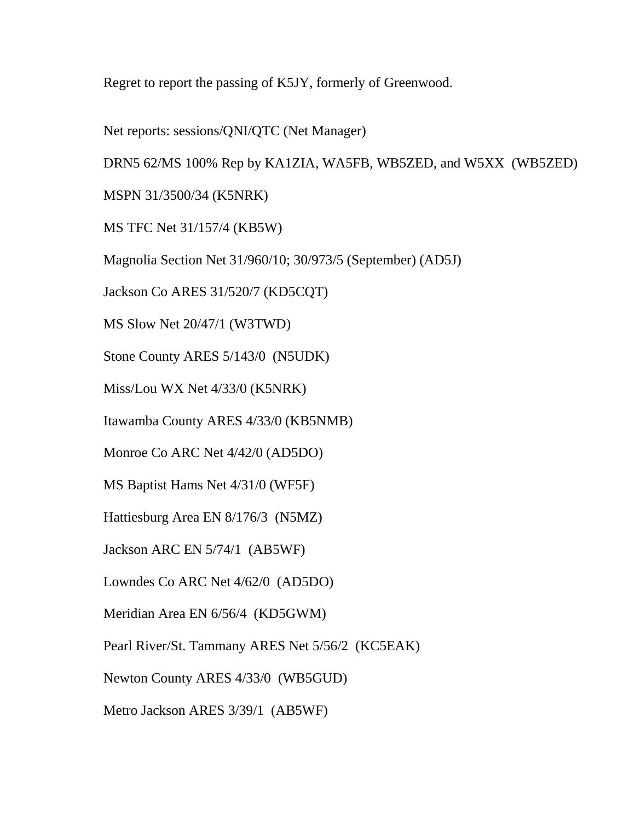Regret to report the passing of K5JY, formerly of Greenwood.

Net reports: sessions/QNI/QTC (Net Manager)

DRN5 62/MS 100% Rep by KA1ZIA, WA5FB, WB5ZED, and W5XX (WB5ZED)

MSPN 31/3500/34 (K5NRK)

MS TFC Net 31/157/4 (KB5W)

Magnolia Section Net 31/960/10; 30/973/5 (September) (AD5J)

Jackson Co ARES 31/520/7 (KD5CQT)

MS Slow Net 20/47/1 (W3TWD)

Stone County ARES 5/143/0 (N5UDK)

Miss/Lou WX Net 4/33/0 (K5NRK)

Itawamba County ARES 4/33/0 (KB5NMB)

Monroe Co ARC Net 4/42/0 (AD5DO)

MS Baptist Hams Net 4/31/0 (WF5F)

Hattiesburg Area EN 8/176/3 (N5MZ)

Jackson ARC EN 5/74/1 (AB5WF)

Lowndes Co ARC Net 4/62/0 (AD5DO)

Meridian Area EN 6/56/4 (KD5GWM)

Pearl River/St. Tammany ARES Net 5/56/2 (KC5EAK)

Newton County ARES 4/33/0 (WB5GUD)

Metro Jackson ARES 3/39/1 (AB5WF)